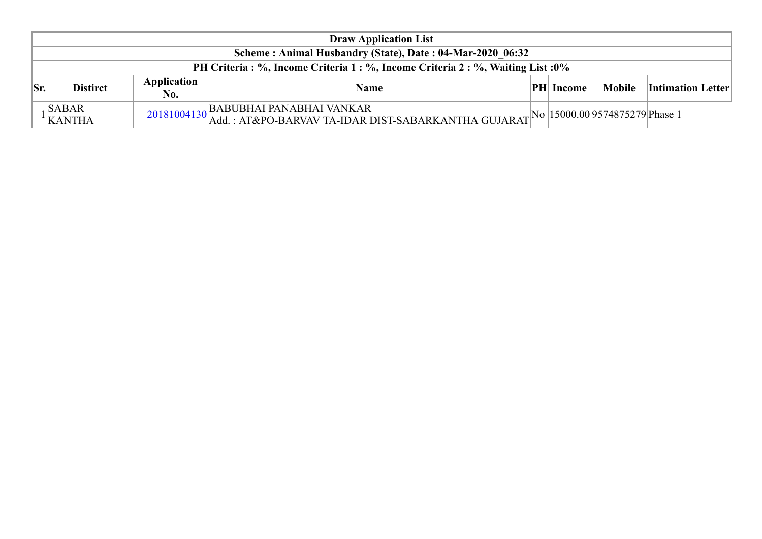|                                                                                  | <b>Draw Application List</b>                              |                    |                                                                                                                                                                                                                                                                                                                                                                 |  |                   |        |                          |  |  |  |  |  |
|----------------------------------------------------------------------------------|-----------------------------------------------------------|--------------------|-----------------------------------------------------------------------------------------------------------------------------------------------------------------------------------------------------------------------------------------------------------------------------------------------------------------------------------------------------------------|--|-------------------|--------|--------------------------|--|--|--|--|--|
|                                                                                  | Scheme: Animal Husbandry (State), Date: 04-Mar-2020 06:32 |                    |                                                                                                                                                                                                                                                                                                                                                                 |  |                   |        |                          |  |  |  |  |  |
| PH Criteria : %, Income Criteria 1 : %, Income Criteria 2 : %, Waiting List : 0% |                                                           |                    |                                                                                                                                                                                                                                                                                                                                                                 |  |                   |        |                          |  |  |  |  |  |
| Sr.                                                                              | <b>Distirct</b>                                           | Application<br>No. | <b>Name</b>                                                                                                                                                                                                                                                                                                                                                     |  | $ PH $ Income $ $ | Mobile | <b>Intimation Letter</b> |  |  |  |  |  |
|                                                                                  | $\vert$ SABAR<br>$\frac{1}{K}$ KANTHA                     |                    | $\frac{20181004130}{\text{Add.}: AT&PO-BARVAV TA-IDAR DIST-SABARKANTHA GUJARAT} \bigg  \text{No} \bigg  15000.00 \bigg  9574875279 \bigg  \text{Phase 1} \bigg  \text{Add.}: AT&PO-BARVAV TA-IDAR DIST-SABARKANTHA GUJARAT} \bigg  \text{No} \bigg  15000.00 \bigg  9574875279 \bigg  \text{Phase 1} \bigg  15000.00 \bigg  15000.00 \bigg  15000.00 \bigg  15$ |  |                   |        |                          |  |  |  |  |  |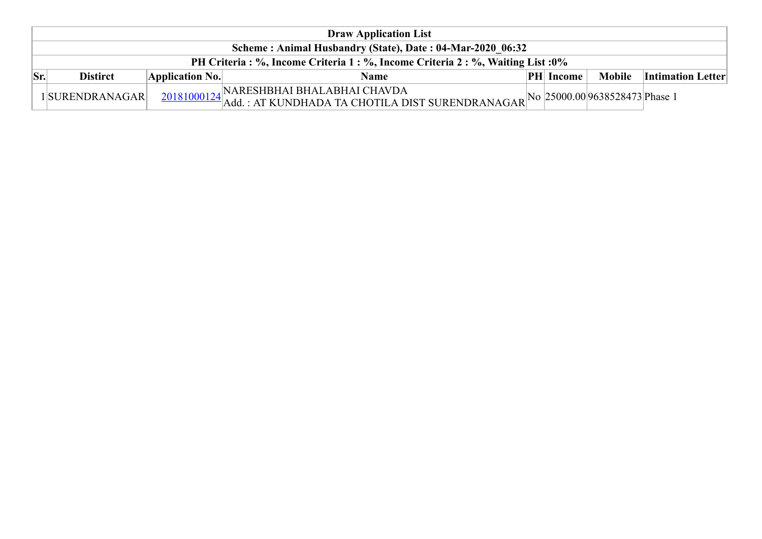|      | <b>Draw Application List</b>                                                     |                 |                                                                                                                                        |  |                  |  |                                 |  |  |  |
|------|----------------------------------------------------------------------------------|-----------------|----------------------------------------------------------------------------------------------------------------------------------------|--|------------------|--|---------------------------------|--|--|--|
|      | Scheme: Animal Husbandry (State), Date: 04-Mar-2020 06:32                        |                 |                                                                                                                                        |  |                  |  |                                 |  |  |  |
|      | PH Criteria : %, Income Criteria 1 : %, Income Criteria 2 : %, Waiting List : 0% |                 |                                                                                                                                        |  |                  |  |                                 |  |  |  |
| lSr. | <b>Distirct</b>                                                                  | Application No. | <b>Name</b>                                                                                                                            |  | <b>PH</b> Income |  | <b>Mobile</b> Intimation Letter |  |  |  |
|      | 1SURENDRANAGAR                                                                   |                 | 20181000124 NARESHBHAI BHALABHAI CHAVDA<br>20181000124 Add. : AT KUNDHADA TA CHOTILA DIST SURENDRANAGAR No 25000.00 9638528473 Phase 1 |  |                  |  |                                 |  |  |  |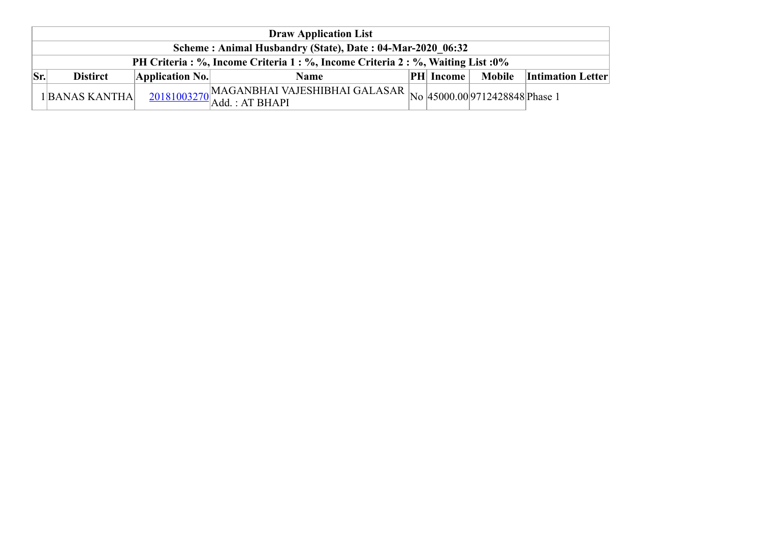|          | <b>Draw Application List</b>                                                     |                 |                                                    |  |                  |  |                                   |  |  |  |  |
|----------|----------------------------------------------------------------------------------|-----------------|----------------------------------------------------|--|------------------|--|-----------------------------------|--|--|--|--|
|          | Scheme: Animal Husbandry (State), Date: 04-Mar-2020 06:32                        |                 |                                                    |  |                  |  |                                   |  |  |  |  |
|          | PH Criteria : %, Income Criteria 1 : %, Income Criteria 2 : %, Waiting List : 0% |                 |                                                    |  |                  |  |                                   |  |  |  |  |
| $ S_{r}$ | <b>Distirct</b>                                                                  | Application No. | Name                                               |  | <b>PH</b> Income |  | <b>Mobile</b>   Intimation Letter |  |  |  |  |
|          | 1BANAS KANTHA                                                                    |                 | $\frac{20181003270}{\text{Add.}: \text{AT BHAPI}}$ |  |                  |  |                                   |  |  |  |  |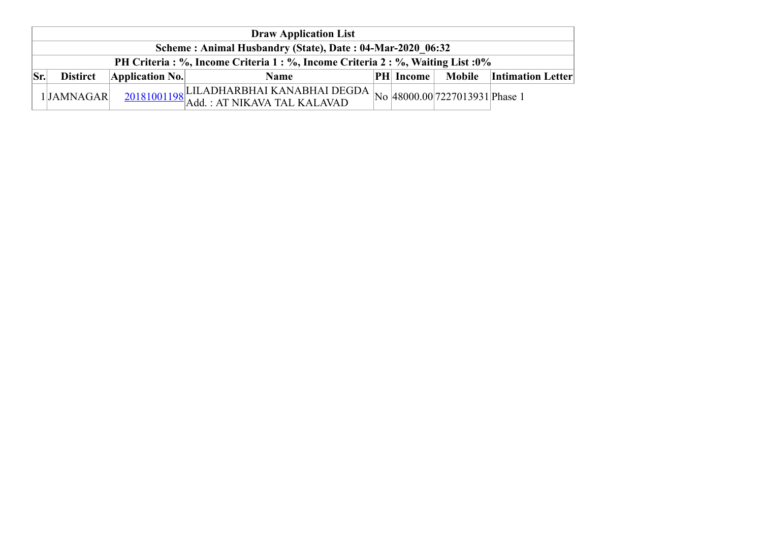|            | <b>Draw Application List</b>                                                     |                 |                                                                                        |  |                  |  |                                 |  |  |  |  |
|------------|----------------------------------------------------------------------------------|-----------------|----------------------------------------------------------------------------------------|--|------------------|--|---------------------------------|--|--|--|--|
|            | Scheme: Animal Husbandry (State), Date: 04-Mar-2020 06:32                        |                 |                                                                                        |  |                  |  |                                 |  |  |  |  |
|            | PH Criteria : %, Income Criteria 1 : %, Income Criteria 2 : %, Waiting List : 0% |                 |                                                                                        |  |                  |  |                                 |  |  |  |  |
| $ S_{r.} $ | <b>Distirct</b>                                                                  | Application No. | <b>Name</b>                                                                            |  | <b>PH</b> Income |  | <b>Mobile</b> Intimation Letter |  |  |  |  |
|            | 1JAMNAGAR                                                                        |                 | $\frac{20181001198}{\text{Add.}:AT NIKAVA TAL KALAVAD}$ No 48000.00 7227013931 Phase 1 |  |                  |  |                                 |  |  |  |  |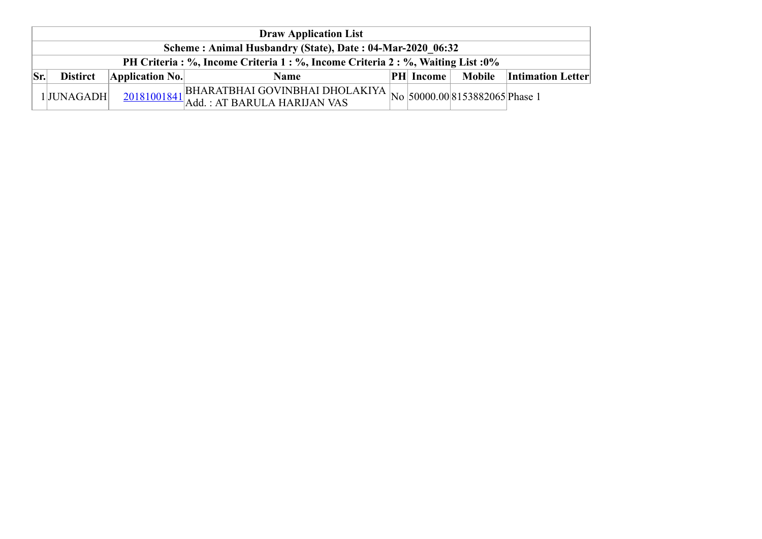|                                                                                  |     | <b>Draw Application List</b>                              |                 |                                                                                                                                                           |  |                  |  |                                 |  |  |  |  |
|----------------------------------------------------------------------------------|-----|-----------------------------------------------------------|-----------------|-----------------------------------------------------------------------------------------------------------------------------------------------------------|--|------------------|--|---------------------------------|--|--|--|--|
|                                                                                  |     | Scheme: Animal Husbandry (State), Date: 04-Mar-2020 06:32 |                 |                                                                                                                                                           |  |                  |  |                                 |  |  |  |  |
| PH Criteria : %, Income Criteria 1 : %, Income Criteria 2 : %, Waiting List : 0% |     |                                                           |                 |                                                                                                                                                           |  |                  |  |                                 |  |  |  |  |
|                                                                                  | Sr. | <b>Distirct</b>                                           | Application No. | Name                                                                                                                                                      |  | <b>PH</b> Income |  | <b>Mobile</b> Intimation Letter |  |  |  |  |
|                                                                                  |     | 1JUNAGADH                                                 |                 | $_{4.1}$ BHARATBHAI GOVINBHAI DHOLAKIYA $ _{\rm No}\, _{\rm 50000.00} $ 8153882065 $ $ Phase 1<br>$\frac{20181001841}{\text{Add.}:AT BARULA HARIJAN VAS}$ |  |                  |  |                                 |  |  |  |  |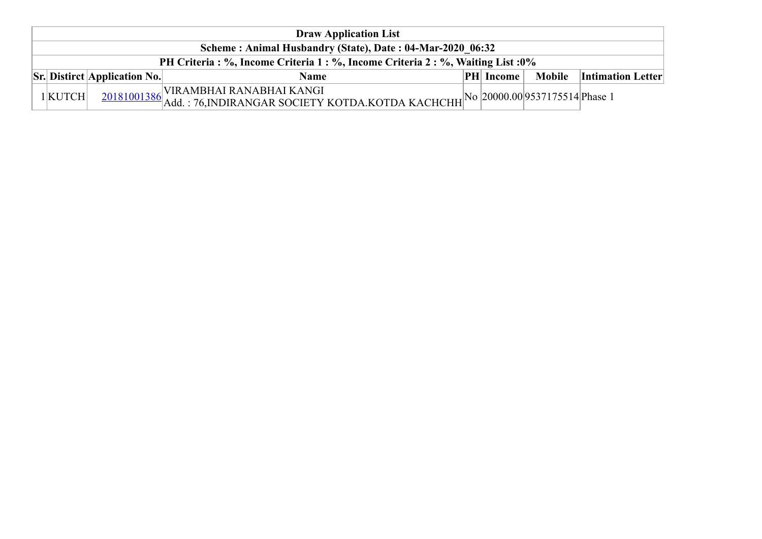|  | <b>Draw Application List</b>                                                     |                                                              |                                                                                                                                                  |  |                  |  |                                 |  |  |  |
|--|----------------------------------------------------------------------------------|--------------------------------------------------------------|--------------------------------------------------------------------------------------------------------------------------------------------------|--|------------------|--|---------------------------------|--|--|--|
|  | Scheme: Animal Husbandry (State), Date: 04-Mar-2020 06:32                        |                                                              |                                                                                                                                                  |  |                  |  |                                 |  |  |  |
|  | PH Criteria : %, Income Criteria 1 : %, Income Criteria 2 : %, Waiting List : 0% |                                                              |                                                                                                                                                  |  |                  |  |                                 |  |  |  |
|  |                                                                                  | $\left \mathbf{S}\mathbf{r}\right $ Distirct Application No. | <b>Name</b>                                                                                                                                      |  | <b>PH</b> Income |  | <b>Mobile</b> Intimation Letter |  |  |  |
|  | $1$ KUTCH                                                                        |                                                              | $\overline{20181001386}$ VIRAMBHAI RANABHAI KANGI<br>20181001386 Add. : 76,INDIRANGAR SOCIETY KOTDA.KOTDA KACHCHH No 20000.00 9537175514 Phase 1 |  |                  |  |                                 |  |  |  |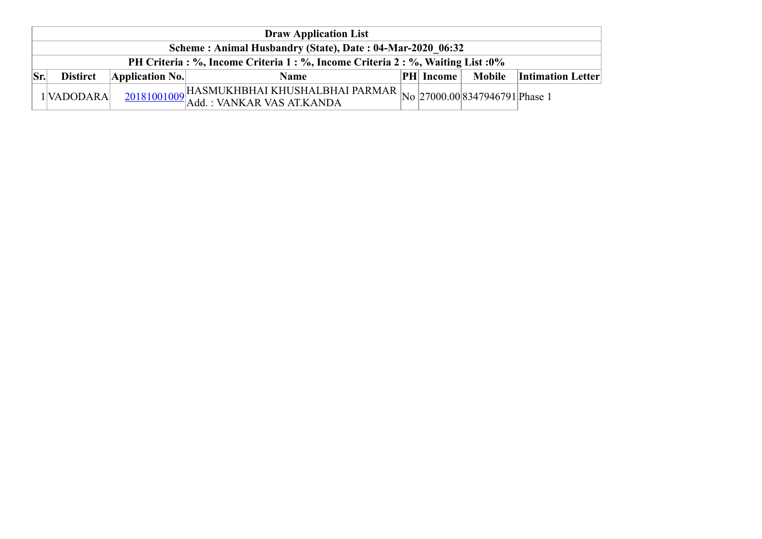|                                                                                  |     | <b>Draw Application List</b>                              |                 |                                                                                      |  |                  |  |                                 |  |  |  |  |  |
|----------------------------------------------------------------------------------|-----|-----------------------------------------------------------|-----------------|--------------------------------------------------------------------------------------|--|------------------|--|---------------------------------|--|--|--|--|--|
|                                                                                  |     | Scheme: Animal Husbandry (State), Date: 04-Mar-2020 06:32 |                 |                                                                                      |  |                  |  |                                 |  |  |  |  |  |
| PH Criteria : %, Income Criteria 1 : %, Income Criteria 2 : %, Waiting List : 0% |     |                                                           |                 |                                                                                      |  |                  |  |                                 |  |  |  |  |  |
|                                                                                  | Sr. | <b>Distirct</b>                                           | Application No. | Name                                                                                 |  | <b>PH</b> Income |  | <b>Mobile</b> Intimation Letter |  |  |  |  |  |
|                                                                                  |     | 1 VADODARA                                                |                 | $\frac{20181001009}{\text{Add.}:}$ VANKAR VAS AT.KANDA<br>Add. : VANKAR VAS AT.KANDA |  |                  |  |                                 |  |  |  |  |  |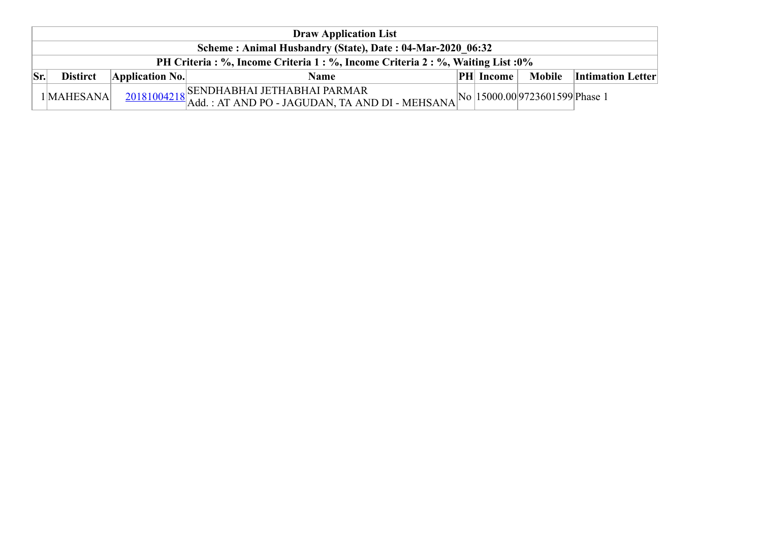|                                                                              |     | <b>Draw Application List</b>                              |                         |                                                                                                                                               |  |                  |  |                                 |  |  |  |
|------------------------------------------------------------------------------|-----|-----------------------------------------------------------|-------------------------|-----------------------------------------------------------------------------------------------------------------------------------------------|--|------------------|--|---------------------------------|--|--|--|
|                                                                              |     | Scheme: Animal Husbandry (State), Date: 04-Mar-2020 06:32 |                         |                                                                                                                                               |  |                  |  |                                 |  |  |  |
| PH Criteria: %, Income Criteria 1: %, Income Criteria 2: %, Waiting List: 0% |     |                                                           |                         |                                                                                                                                               |  |                  |  |                                 |  |  |  |
|                                                                              | Sr. | <b>Distirct</b>                                           | $\Delta$ pplication No. | <b>Name</b>                                                                                                                                   |  | <b>PH</b> Income |  | <b>Mobile</b> Intimation Letter |  |  |  |
|                                                                              |     | 1 MAHESANA                                                |                         | SENDHABHAI JETHABHAI PARMAR<br>$\frac{20181004218}{\text{Add.}: AT AND PO - JAGUDAN, TA AND DI - MEHSANA}$ No $ 15000.00 9723601599 $ Phase 1 |  |                  |  |                                 |  |  |  |